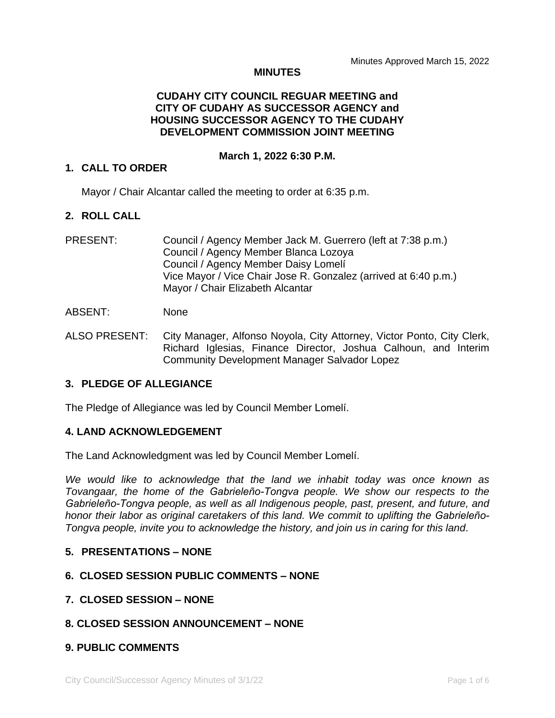#### **MINUTES**

# **CUDAHY CITY COUNCIL REGUAR MEETING and CITY OF CUDAHY AS SUCCESSOR AGENCY and HOUSING SUCCESSOR AGENCY TO THE CUDAHY DEVELOPMENT COMMISSION JOINT MEETING**

#### **March 1, 2022 6:30 P.M.**

#### **1. CALL TO ORDER**

Mayor / Chair Alcantar called the meeting to order at 6:35 p.m.

### **2. ROLL CALL**

PRESENT: Council / Agency Member Jack M. Guerrero (left at 7:38 p.m.) Council / Agency Member Blanca Lozoya Council / Agency Member Daisy Lomelí Vice Mayor / Vice Chair Jose R. Gonzalez (arrived at 6:40 p.m.) Mayor / Chair Elizabeth Alcantar

#### ABSENT: None

ALSO PRESENT: City Manager, Alfonso Noyola, City Attorney, Victor Ponto, City Clerk, Richard Iglesias, Finance Director, Joshua Calhoun, and Interim Community Development Manager Salvador Lopez

# **3. PLEDGE OF ALLEGIANCE**

The Pledge of Allegiance was led by Council Member Lomelí.

# **4. LAND ACKNOWLEDGEMENT**

The Land Acknowledgment was led by Council Member Lomelí.

*We would like to acknowledge that the land we inhabit today was once known as Tovangaar, the home of the Gabrieleño-Tongva people. We show our respects to the Gabrieleño-Tongva people, as well as all Indigenous people, past, present, and future, and honor their labor as original caretakers of this land. We commit to uplifting the Gabrieleño-Tongva people, invite you to acknowledge the history, and join us in caring for this land*.

# **5. PRESENTATIONS – NONE**

# **6. CLOSED SESSION PUBLIC COMMENTS – NONE**

**7. CLOSED SESSION – NONE**

# **8. CLOSED SESSION ANNOUNCEMENT – NONE**

# **9. PUBLIC COMMENTS**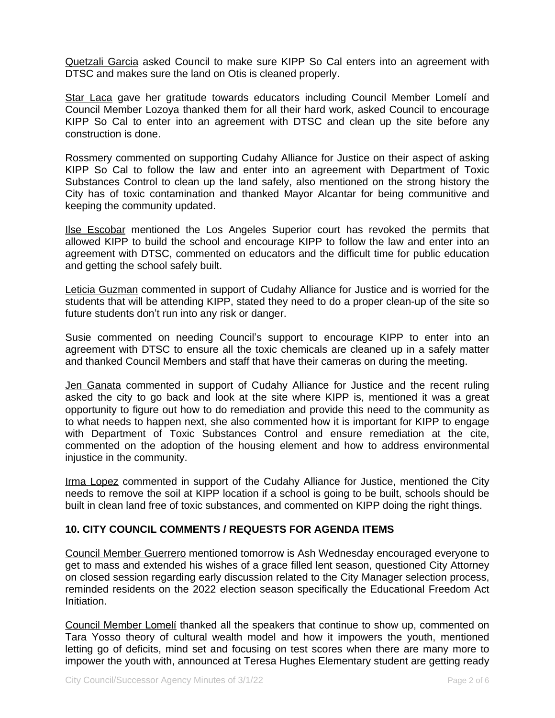Quetzali Garcia asked Council to make sure KIPP So Cal enters into an agreement with DTSC and makes sure the land on Otis is cleaned properly.

Star Laca gave her gratitude towards educators including Council Member Lomelí and Council Member Lozoya thanked them for all their hard work, asked Council to encourage KIPP So Cal to enter into an agreement with DTSC and clean up the site before any construction is done.

Rossmery commented on supporting Cudahy Alliance for Justice on their aspect of asking KIPP So Cal to follow the law and enter into an agreement with Department of Toxic Substances Control to clean up the land safely, also mentioned on the strong history the City has of toxic contamination and thanked Mayor Alcantar for being communitive and keeping the community updated.

Ilse Escobar mentioned the Los Angeles Superior court has revoked the permits that allowed KIPP to build the school and encourage KIPP to follow the law and enter into an agreement with DTSC, commented on educators and the difficult time for public education and getting the school safely built.

Leticia Guzman commented in support of Cudahy Alliance for Justice and is worried for the students that will be attending KIPP, stated they need to do a proper clean-up of the site so future students don't run into any risk or danger.

Susie commented on needing Council's support to encourage KIPP to enter into an agreement with DTSC to ensure all the toxic chemicals are cleaned up in a safely matter and thanked Council Members and staff that have their cameras on during the meeting.

Jen Ganata commented in support of Cudahy Alliance for Justice and the recent ruling asked the city to go back and look at the site where KIPP is, mentioned it was a great opportunity to figure out how to do remediation and provide this need to the community as to what needs to happen next, she also commented how it is important for KIPP to engage with Department of Toxic Substances Control and ensure remediation at the cite, commented on the adoption of the housing element and how to address environmental injustice in the community.

Irma Lopez commented in support of the Cudahy Alliance for Justice, mentioned the City needs to remove the soil at KIPP location if a school is going to be built, schools should be built in clean land free of toxic substances, and commented on KIPP doing the right things.

# **10. CITY COUNCIL COMMENTS / REQUESTS FOR AGENDA ITEMS**

Council Member Guerrero mentioned tomorrow is Ash Wednesday encouraged everyone to get to mass and extended his wishes of a grace filled lent season, questioned City Attorney on closed session regarding early discussion related to the City Manager selection process, reminded residents on the 2022 election season specifically the Educational Freedom Act Initiation.

Council Member Lomelí thanked all the speakers that continue to show up, commented on Tara Yosso theory of cultural wealth model and how it impowers the youth, mentioned letting go of deficits, mind set and focusing on test scores when there are many more to impower the youth with, announced at Teresa Hughes Elementary student are getting ready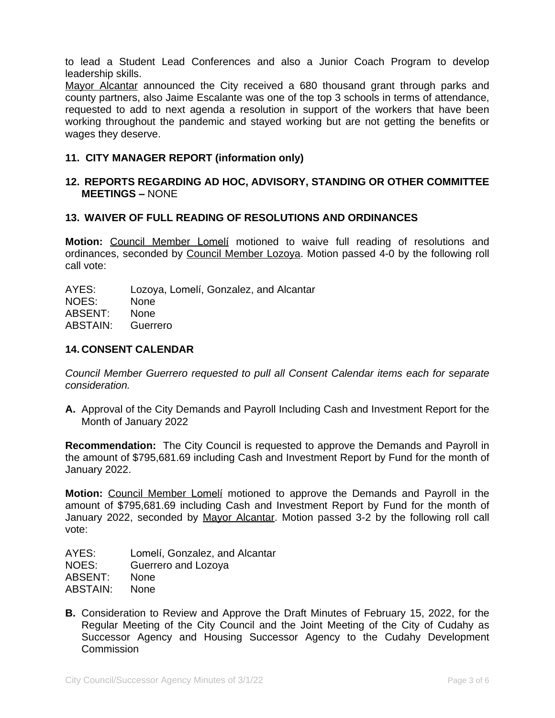to lead a Student Lead Conferences and also a Junior Coach Program to develop leadership skills.

Mayor Alcantar announced the City received a 680 thousand grant through parks and county partners, also Jaime Escalante was one of the top 3 schools in terms of attendance, requested to add to next agenda a resolution in support of the workers that have been working throughout the pandemic and stayed working but are not getting the benefits or wages they deserve.

# **11. CITY MANAGER REPORT (information only)**

#### **12. REPORTS REGARDING AD HOC, ADVISORY, STANDING OR OTHER COMMITTEE MEETINGS –** NONE

#### **13. WAIVER OF FULL READING OF RESOLUTIONS AND ORDINANCES**

**Motion:** Council Member Lomelí motioned to waive full reading of resolutions and ordinances, seconded by Council Member Lozoya. Motion passed 4-0 by the following roll call vote:

AYES: Lozoya, Lomelí, Gonzalez, and Alcantar NOES: None ABSENT: None ABSTAIN: Guerrero

### **14. CONSENT CALENDAR**

*Council Member Guerrero requested to pull all Consent Calendar items each for separate consideration.*

**A.** Approval of the City Demands and Payroll Including Cash and Investment Report for the Month of January 2022

**Recommendation:** The City Council is requested to approve the Demands and Payroll in the amount of \$795,681.69 including Cash and Investment Report by Fund for the month of January 2022.

**Motion:** Council Member Lomelí motioned to approve the Demands and Payroll in the amount of \$795,681.69 including Cash and Investment Report by Fund for the month of January 2022, seconded by Mayor Alcantar. Motion passed 3-2 by the following roll call vote:

AYES: Lomelí, Gonzalez, and Alcantar NOES: Guerrero and Lozoya ABSENT: None ABSTAIN: None

**B.** Consideration to Review and Approve the Draft Minutes of February 15, 2022, for the Regular Meeting of the City Council and the Joint Meeting of the City of Cudahy as Successor Agency and Housing Successor Agency to the Cudahy Development **Commission**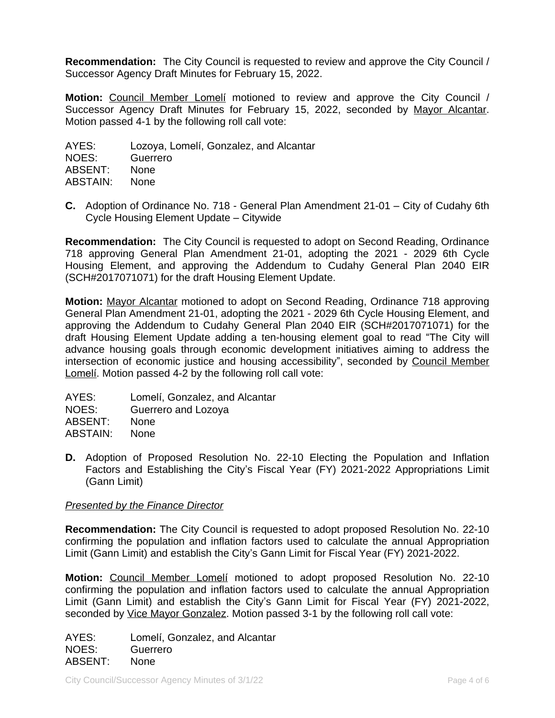**Recommendation:** The City Council is requested to review and approve the City Council / Successor Agency Draft Minutes for February 15, 2022.

**Motion:** Council Member Lomelí motioned to review and approve the City Council / Successor Agency Draft Minutes for February 15, 2022, seconded by Mayor Alcantar. Motion passed 4-1 by the following roll call vote:

AYES: Lozoya, Lomelí, Gonzalez, and Alcantar NOES: Guerrero ABSENT: None ABSTAIN: None

**C.** Adoption of Ordinance No. 718 - General Plan Amendment 21-01 – City of Cudahy 6th Cycle Housing Element Update – Citywide

**Recommendation:** The City Council is requested to adopt on Second Reading, Ordinance 718 approving General Plan Amendment 21-01, adopting the 2021 - 2029 6th Cycle Housing Element, and approving the Addendum to Cudahy General Plan 2040 EIR (SCH#2017071071) for the draft Housing Element Update.

**Motion:** Mayor Alcantar motioned to adopt on Second Reading, Ordinance 718 approving General Plan Amendment 21-01, adopting the 2021 - 2029 6th Cycle Housing Element, and approving the Addendum to Cudahy General Plan 2040 EIR (SCH#2017071071) for the draft Housing Element Update adding a ten-housing element goal to read "The City will advance housing goals through economic development initiatives aiming to address the intersection of economic justice and housing accessibility", seconded by Council Member Lomelí. Motion passed 4-2 by the following roll call vote:

| Lomelí, Gonzalez, and Alcantar |
|--------------------------------|
| Guerrero and Lozoya            |
| <b>None</b>                    |
| <b>None</b>                    |
|                                |

**D.** Adoption of Proposed Resolution No. 22-10 Electing the Population and Inflation Factors and Establishing the City's Fiscal Year (FY) 2021-2022 Appropriations Limit (Gann Limit)

# *Presented by the Finance Director*

**Recommendation:** The City Council is requested to adopt proposed Resolution No. 22-10 confirming the population and inflation factors used to calculate the annual Appropriation Limit (Gann Limit) and establish the City's Gann Limit for Fiscal Year (FY) 2021-2022.

**Motion:** Council Member Lomelí motioned to adopt proposed Resolution No. 22-10 confirming the population and inflation factors used to calculate the annual Appropriation Limit (Gann Limit) and establish the City's Gann Limit for Fiscal Year (FY) 2021-2022, seconded by Vice Mayor Gonzalez. Motion passed 3-1 by the following roll call vote:

AYES: Lomelí, Gonzalez, and Alcantar NOES: Guerrero ABSENT: None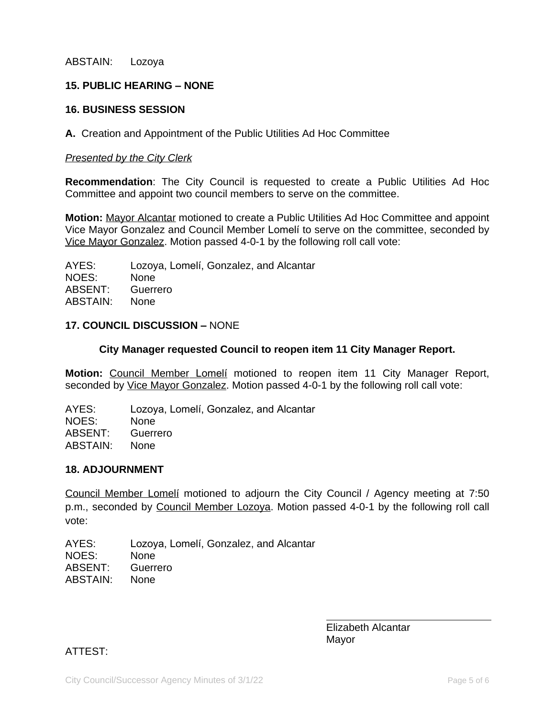ABSTAIN: Lozoya

# **15. PUBLIC HEARING – NONE**

### **16. BUSINESS SESSION**

**A.** Creation and Appointment of the Public Utilities Ad Hoc Committee

#### *Presented by the City Clerk*

**Recommendation**: The City Council is requested to create a Public Utilities Ad Hoc Committee and appoint two council members to serve on the committee.

**Motion:** Mayor Alcantar motioned to create a Public Utilities Ad Hoc Committee and appoint Vice Mayor Gonzalez and Council Member Lomelí to serve on the committee, seconded by Vice Mayor Gonzalez. Motion passed 4-0-1 by the following roll call vote:

AYES: Lozoya, Lomelí, Gonzalez, and Alcantar NOES: None ABSENT: Guerrero ABSTAIN: None

### **17. COUNCIL DISCUSSION –** NONE

#### **City Manager requested Council to reopen item 11 City Manager Report.**

**Motion:** Council Member Lomelí motioned to reopen item 11 City Manager Report, seconded by Vice Mayor Gonzalez. Motion passed 4-0-1 by the following roll call vote:

AYES: Lozoya, Lomelí, Gonzalez, and Alcantar NOES: None ABSENT: Guerrero ABSTAIN: None

#### **18. ADJOURNMENT**

Council Member Lomelí motioned to adjourn the City Council / Agency meeting at 7:50 p.m., seconded by Council Member Lozoya. Motion passed 4-0-1 by the following roll call vote:

AYES: Lozoya, Lomelí, Gonzalez, and Alcantar NOES: None ABSENT: Guerrero ABSTAIN: None

> Elizabeth Alcantar Mayor

 $\overline{a}$ 

ATTEST: